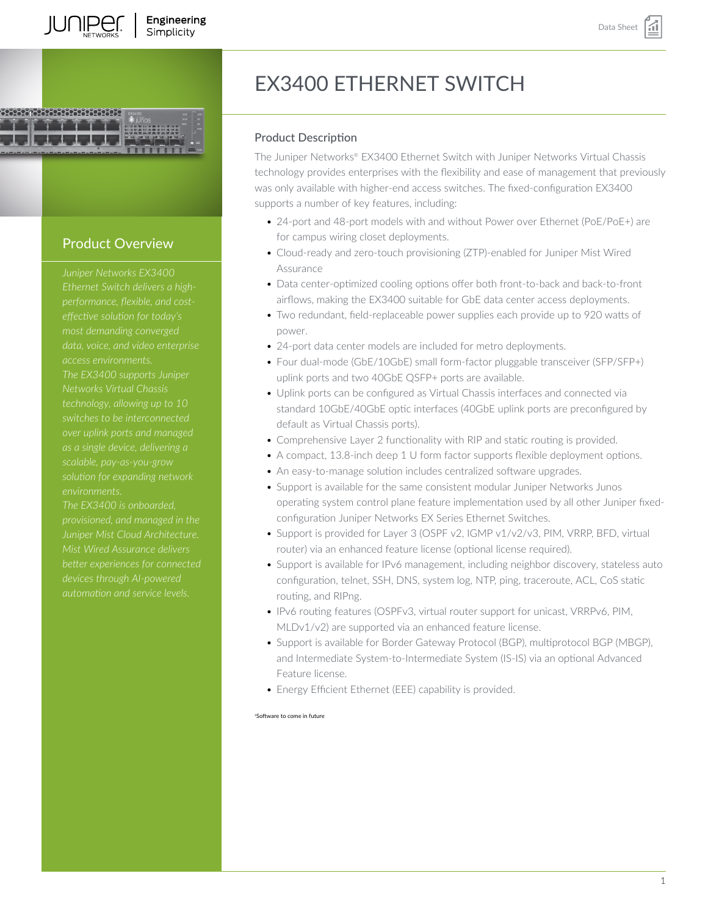

# Product Overview

*Juniper Networks EX3400 Ethernet Switch delivers a highperformance, flexible, and costdata, voice, and video enterprise The EX3400 supports Juniper Networks Virtual Chassis switches to be interconnected as a single device, delivering a*

*The EX3400 is onboarded, Juniper Mist Cloud Architecture. Mist Wired Assurance delivers better experiences for connected*

# EX3400 ETHERNET SWITCH

#### Product Description

The Juniper Networks® EX3400 Ethernet Switch with Juniper Networks Virtual Chassis technology provides enterprises with the flexibility and ease of management that previously was only available with higher-end access switches. The fixed-configuration EX3400 supports a number of key features, including:

- 24-port and 48-port models with and without Power over Ethernet (PoE/PoE+) are for campus wiring closet deployments.
- Cloud-ready and zero-touch provisioning (ZTP)-enabled for Juniper Mist Wired Assurance
- Data center-optimized cooling options offer both front-to-back and back-to-front airflows, making the EX3400 suitable for GbE data center access deployments.
- Two redundant, field-replaceable power supplies each provide up to 920 watts of power.
- 24-port data center models are included for metro deployments.
- Four dual-mode (GbE/10GbE) small form-factor pluggable transceiver (SFP/SFP+) uplink ports and two 40GbE QSFP+ ports are available.
- Uplink ports can be configured as Virtual Chassis interfaces and connected via standard 10GbE/40GbE optic interfaces (40GbE uplink ports are preconfigured by default as Virtual Chassis ports).
- Comprehensive Layer 2 functionality with RIP and static routing is provided.
- A compact, 13.8-inch deep 1 U form factor supports flexible deployment options.
- An easy-to-manage solution includes centralized software upgrades.
- Support is available for the same consistent modular Juniper Networks Junos operating system control plane feature implementation used by all other Juniper fixedconfiguration Juniper Networks EX Series Ethernet Switches.
- Support is provided for Layer 3 (OSPF v2, IGMP v1/v2/v3, PIM, VRRP, BFD, virtual router) via an enhanced feature license (optional license required).
- Support is available for IPv6 management, including neighbor discovery, stateless auto configuration, telnet, SSH, DNS, system log, NTP, ping, traceroute, ACL, CoS static routing, and RIPng.
- IPv6 routing features (OSPFv3, virtual router support for unicast, VRRPv6, PIM, MLDv1/v2) are supported via an enhanced feature license.
- Support is available for Border Gateway Protocol (BGP), multiprotocol BGP (MBGP), and Intermediate System-to-Intermediate System (IS-IS) via an optional Advanced Feature license.
- Energy Efficient Ethernet (EEE) capability is provided.

#### <sup>1</sup>Software to come in future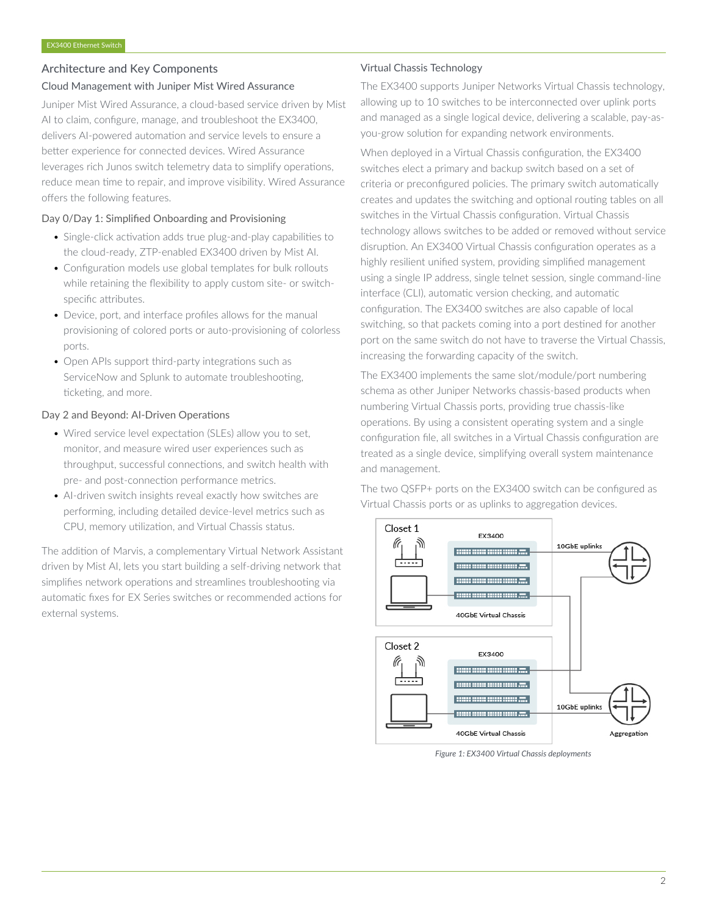#### Architecture and Key Components

#### Cloud Management with Juniper Mist Wired Assurance

Juniper Mist Wired Assurance, a cloud-based service driven by Mist AI to claim, configure, manage, and troubleshoot the EX3400, delivers AI-powered automation and service levels to ensure a better experience for connected devices. Wired Assurance leverages rich Junos switch telemetry data to simplify operations, reduce mean time to repair, and improve visibility. Wired Assurance offers the following features.

#### Day 0/Day 1: Simplified Onboarding and Provisioning

- Single-click activation adds true plug-and-play capabilities to the cloud-ready, ZTP-enabled EX3400 driven by Mist AI.
- Configuration models use global templates for bulk rollouts while retaining the flexibility to apply custom site- or switchspecific attributes.
- Device, port, and interface profiles allows for the manual provisioning of colored ports or auto-provisioning of colorless ports.
- Open APIs support third-party integrations such as ServiceNow and Splunk to automate troubleshooting, ticketing, and more.

#### Day 2 and Beyond: AI-Driven Operations

- Wired service level expectation (SLEs) allow you to set, monitor, and measure wired user experiences such as throughput, successful connections, and switch health with pre- and post-connection performance metrics.
- AI-driven switch insights reveal exactly how switches are performing, including detailed device-level metrics such as CPU, memory utilization, and Virtual Chassis status.

The addition of Marvis, a complementary Virtual Network Assistant driven by Mist AI, lets you start building a self-driving network that simplifies network operations and streamlines troubleshooting via automatic fixes for EX Series switches or recommended actions for external systems.

#### Virtual Chassis Technology

The EX3400 supports Juniper Networks Virtual Chassis technology, allowing up to 10 switches to be interconnected over uplink ports and managed as a single logical device, delivering a scalable, pay-asyou-grow solution for expanding network environments.

When deployed in a Virtual Chassis configuration, the EX3400 switches elect a primary and backup switch based on a set of criteria or preconfigured policies. The primary switch automatically creates and updates the switching and optional routing tables on all switches in the Virtual Chassis configuration. Virtual Chassis technology allows switches to be added or removed without service disruption. An EX3400 Virtual Chassis configuration operates as a highly resilient unified system, providing simplified management using a single IP address, single telnet session, single command-line interface (CLI), automatic version checking, and automatic configuration. The EX3400 switches are also capable of local switching, so that packets coming into a port destined for another port on the same switch do not have to traverse the Virtual Chassis, increasing the forwarding capacity of the switch.

The EX3400 implements the same slot/module/port numbering schema as other Juniper Networks chassis-based products when numbering Virtual Chassis ports, providing true chassis-like operations. By using a consistent operating system and a single configuration file, all switches in a Virtual Chassis configuration are treated as a single device, simplifying overall system maintenance and management.

The two QSFP+ ports on the EX3400 switch can be configured as Virtual Chassis ports or as uplinks to aggregation devices.



*Figure 1: EX3400 Virtual Chassis deployments*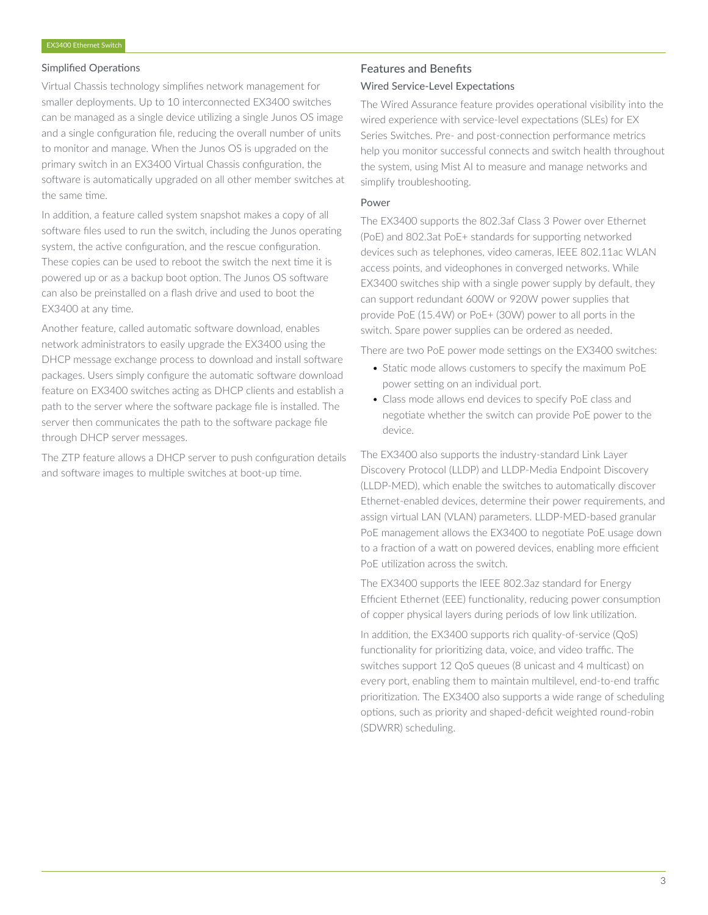#### Simplified Operations

Virtual Chassis technology simplifies network management for smaller deployments. Up to 10 interconnected EX3400 switches can be managed as a single device utilizing a single Junos OS image and a single configuration file, reducing the overall number of units to monitor and manage. When the Junos OS is upgraded on the primary switch in an EX3400 Virtual Chassis configuration, the software is automatically upgraded on all other member switches at the same time.

In addition, a feature called system snapshot makes a copy of all software files used to run the switch, including the Junos operating system, the active configuration, and the rescue configuration. These copies can be used to reboot the switch the next time it is powered up or as a backup boot option. The Junos OS software can also be preinstalled on a flash drive and used to boot the EX3400 at any time.

Another feature, called automatic software download, enables network administrators to easily upgrade the EX3400 using the DHCP message exchange process to download and install software packages. Users simply configure the automatic software download feature on EX3400 switches acting as DHCP clients and establish a path to the server where the software package file is installed. The server then communicates the path to the software package file through DHCP server messages.

The ZTP feature allows a DHCP server to push configuration details and software images to multiple switches at boot-up time.

# Features and Benefits

# Wired Service-Level Expectations

The Wired Assurance feature provides operational visibility into the wired experience with service-level expectations (SLEs) for EX Series Switches. Pre- and post-connection performance metrics help you monitor successful connects and switch health throughout the system, using Mist AI to measure and manage networks and simplify troubleshooting.

#### Power

The EX3400 supports the 802.3af Class 3 Power over Ethernet (PoE) and 802.3at PoE+ standards for supporting networked devices such as telephones, video cameras, IEEE 802.11ac WLAN access points, and videophones in converged networks. While EX3400 switches ship with a single power supply by default, they can support redundant 600W or 920W power supplies that provide PoE (15.4W) or PoE+ (30W) power to all ports in the switch. Spare power supplies can be ordered as needed.

There are two PoE power mode settings on the EX3400 switches:

- Static mode allows customers to specify the maximum PoE power setting on an individual port.
- Class mode allows end devices to specify PoE class and negotiate whether the switch can provide PoE power to the device.

The EX3400 also supports the industry-standard Link Layer Discovery Protocol (LLDP) and LLDP-Media Endpoint Discovery (LLDP-MED), which enable the switches to automatically discover Ethernet-enabled devices, determine their power requirements, and assign virtual LAN (VLAN) parameters. LLDP-MED-based granular PoE management allows the EX3400 to negotiate PoE usage down to a fraction of a watt on powered devices, enabling more efficient PoE utilization across the switch.

The EX3400 supports the IEEE 802.3az standard for Energy Efficient Ethernet (EEE) functionality, reducing power consumption of copper physical layers during periods of low link utilization.

In addition, the EX3400 supports rich quality-of-service (QoS) functionality for prioritizing data, voice, and video traffic. The switches support 12 QoS queues (8 unicast and 4 multicast) on every port, enabling them to maintain multilevel, end-to-end traffic prioritization. The EX3400 also supports a wide range of scheduling options, such as priority and shaped-deficit weighted round-robin (SDWRR) scheduling.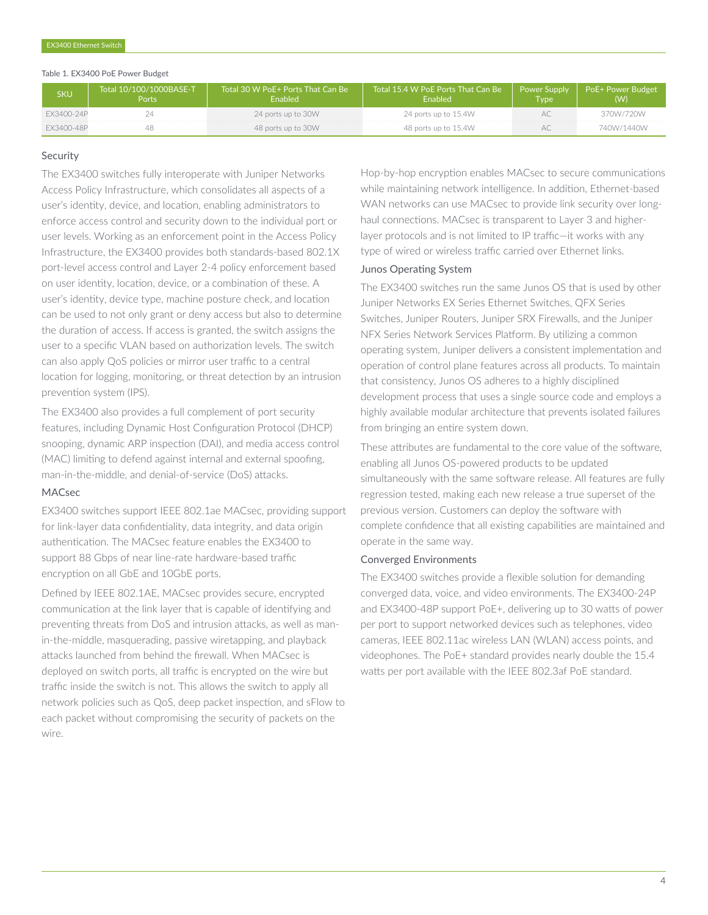#### Table 1. EX3400 PoE Power Budget

| <b>SKU</b> | Total 10/100/1000BASE-T<br>Ports | ' Total 30 W PoE+ Ports That Can Be<br>Fnabled | Total 15.4 W PoE Ports That Can Be<br>Enabled | <b>Power Supply</b><br><b>Type</b> | <b>PoE+ Power Budget</b><br>(W) |
|------------|----------------------------------|------------------------------------------------|-----------------------------------------------|------------------------------------|---------------------------------|
| FX3400-24P |                                  | 24 ports up to 30W                             | 24 ports up to 15.4W                          | $AC$ .                             | 370W/720W                       |
| FX3400-48P |                                  | 48 ports up to 30W                             | 48 ports up to 15.4W                          | $AC$ .                             | 740W/1440W                      |

#### Security

The EX3400 switches fully interoperate with Juniper Networks Access Policy Infrastructure, which consolidates all aspects of a user's identity, device, and location, enabling administrators to enforce access control and security down to the individual port or user levels. Working as an enforcement point in the Access Policy Infrastructure, the EX3400 provides both standards-based 802.1X port-level access control and Layer 2-4 policy enforcement based on user identity, location, device, or a combination of these. A user's identity, device type, machine posture check, and location can be used to not only grant or deny access but also to determine the duration of access. If access is granted, the switch assigns the user to a specific VLAN based on authorization levels. The switch can also apply QoS policies or mirror user traffic to a central location for logging, monitoring, or threat detection by an intrusion prevention system (IPS).

The EX3400 also provides a full complement of port security features, including Dynamic Host Configuration Protocol (DHCP) snooping, dynamic ARP inspection (DAI), and media access control (MAC) limiting to defend against internal and external spoofing, man-in-the-middle, and denial-of-service (DoS) attacks.

#### MACsec

EX3400 switches support IEEE 802.1ae MACsec, providing support for link-layer data confidentiality, data integrity, and data origin authentication. The MACsec feature enables the EX3400 to support 88 Gbps of near line-rate hardware-based traffic encryption on all GbE and 10GbE ports.

Defined by IEEE 802.1AE, MACsec provides secure, encrypted communication at the link layer that is capable of identifying and preventing threats from DoS and intrusion attacks, as well as manin-the-middle, masquerading, passive wiretapping, and playback attacks launched from behind the firewall. When MACsec is deployed on switch ports, all traffic is encrypted on the wire but traffic inside the switch is not. This allows the switch to apply all network policies such as QoS, deep packet inspection, and sFlow to each packet without compromising the security of packets on the wire.

Hop-by-hop encryption enables MACsec to secure communications while maintaining network intelligence. In addition, Ethernet-based WAN networks can use MACsec to provide link security over longhaul connections. MACsec is transparent to Layer 3 and higherlayer protocols and is not limited to IP traffic—it works with any type of wired or wireless traffic carried over Ethernet links.

#### Junos Operating System

The EX3400 switches run the same Junos OS that is used by other Juniper Networks EX Series Ethernet Switches, QFX Series Switches, Juniper Routers, Juniper SRX Firewalls, and the Juniper NFX Series Network Services Platform. By utilizing a common operating system, Juniper delivers a consistent implementation and operation of control plane features across all products. To maintain that consistency, Junos OS adheres to a highly disciplined development process that uses a single source code and employs a highly available modular architecture that prevents isolated failures from bringing an entire system down.

These attributes are fundamental to the core value of the software, enabling all Junos OS-powered products to be updated simultaneously with the same software release. All features are fully regression tested, making each new release a true superset of the previous version. Customers can deploy the software with complete confidence that all existing capabilities are maintained and operate in the same way.

#### Converged Environments

The EX3400 switches provide a flexible solution for demanding converged data, voice, and video environments. The EX3400-24P and EX3400-48P support PoE+, delivering up to 30 watts of power per port to support networked devices such as telephones, video cameras, IEEE 802.11ac wireless LAN (WLAN) access points, and videophones. The PoE+ standard provides nearly double the 15.4 watts per port available with the IEEE 802.3af PoE standard.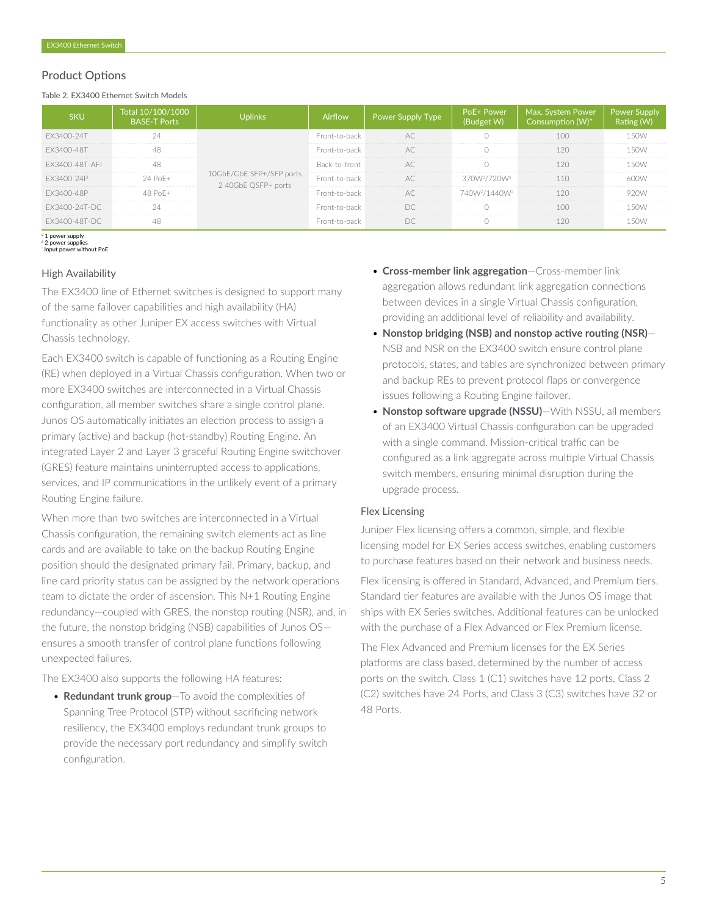#### Product Options

Table 2. EX3400 Ethernet Switch Models

|                  | Total 10/100/1000<br><b>BASE-T Ports</b> |                                                 | Airflow       | Power Supply Type, | PoE+ Power                            | Max. System Power |  |
|------------------|------------------------------------------|-------------------------------------------------|---------------|--------------------|---------------------------------------|-------------------|--|
| FX3400-24T       |                                          | 10GbE/GbE SFP+/SFP ports<br>2 40GbE QSFP+ ports | Front-to-back |                    |                                       |                   |  |
| FX3400-48T       |                                          |                                                 |               |                    |                                       |                   |  |
| FX3400-48T-AFI   |                                          |                                                 | Back-to-front | $\Delta($          |                                       |                   |  |
| FX3400-24P       |                                          |                                                 | Front-to-back |                    | $370W^2/720W^3$                       |                   |  |
|                  |                                          |                                                 |               |                    | 740W <sup>2</sup> /1440W <sup>3</sup> |                   |  |
| EX3400-24T-DC    |                                          |                                                 |               |                    |                                       |                   |  |
| FX:34()()-481-DC |                                          |                                                 |               |                    |                                       |                   |  |

<sup>2</sup> 1 power supply

3 2 power supplies \* Input power without PoE

#### High Availability

The EX3400 line of Ethernet switches is designed to support many of the same failover capabilities and high availability (HA) functionality as other Juniper EX access switches with Virtual Chassis technology.

Each EX3400 switch is capable of functioning as a Routing Engine (RE) when deployed in a Virtual Chassis configuration. When two or more EX3400 switches are interconnected in a Virtual Chassis configuration, all member switches share a single control plane. Junos OS automatically initiates an election process to assign a primary (active) and backup (hot-standby) Routing Engine. An integrated Layer 2 and Layer 3 graceful Routing Engine switchover (GRES) feature maintains uninterrupted access to applications, services, and IP communications in the unlikely event of a primary Routing Engine failure.

When more than two switches are interconnected in a Virtual Chassis configuration, the remaining switch elements act as line cards and are available to take on the backup Routing Engine position should the designated primary fail. Primary, backup, and line card priority status can be assigned by the network operations team to dictate the order of ascension. This N+1 Routing Engine redundancy—coupled with GRES, the nonstop routing (NSR), and, in the future, the nonstop bridging (NSB) capabilities of Junos OS ensures a smooth transfer of control plane functions following unexpected failures.

The EX3400 also supports the following HA features:

• **Redundant trunk group**—To avoid the complexities of Spanning Tree Protocol (STP) without sacrificing network resiliency, the EX3400 employs redundant trunk groups to provide the necessary port redundancy and simplify switch configuration.

- **Cross-member link aggregation**—Cross-member link aggregation allows redundant link aggregation connections between devices in a single Virtual Chassis configuration, providing an additional level of reliability and availability.
- **Nonstop bridging (NSB) and nonstop active routing (NSR)** NSB and NSR on the EX3400 switch ensure control plane protocols, states, and tables are synchronized between primary and backup REs to prevent protocol flaps or convergence issues following a Routing Engine failover.
- **Nonstop software upgrade (NSSU)**—With NSSU, all members of an EX3400 Virtual Chassis configuration can be upgraded with a single command. Mission-critical traffic can be configured as a link aggregate across multiple Virtual Chassis switch members, ensuring minimal disruption during the upgrade process.

#### Flex Licensing

Juniper Flex licensing offers a common, simple, and flexible licensing model for EX Series access switches, enabling customers to purchase features based on their network and business needs. Flex licensing is offered in Standard, Advanced, and Premium tiers. Standard tier features are available with the Junos OS image that ships with EX Series switches. Additional features can be unlocked with the purchase of a Flex Advanced or Flex Premium license.

The Flex Advanced and Premium licenses for the EX Series platforms are class based, determined by the number of access ports on the switch. Class 1 (C1) switches have 12 ports, Class 2 (C2) switches have 24 Ports, and Class 3 (C3) switches have 32 or 48 Ports.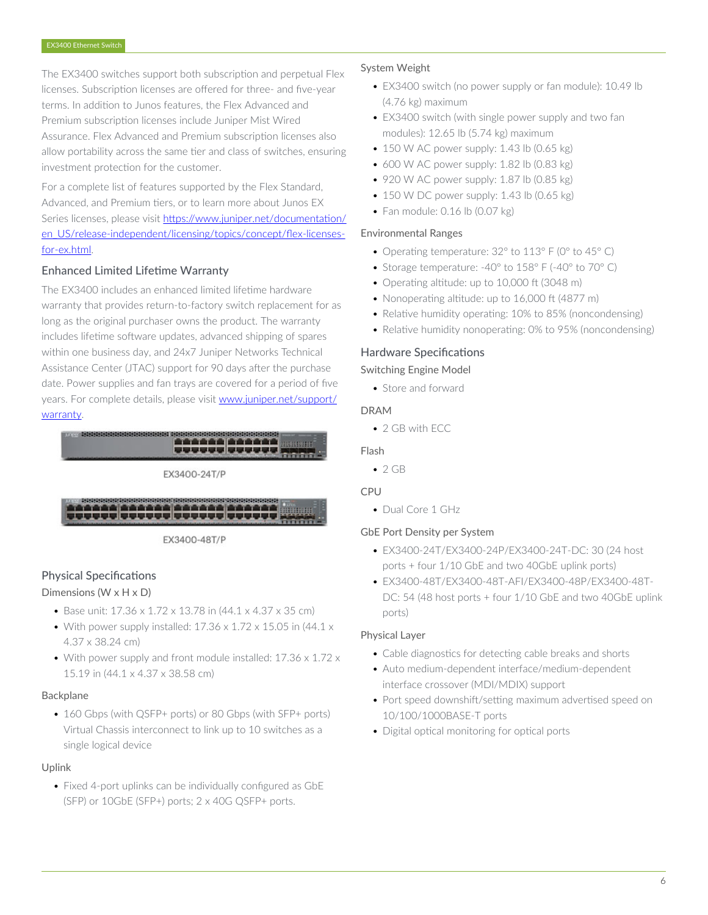The EX3400 switches support both subscription and perpetual Flex licenses. Subscription licenses are offered for three- and five-year terms. In addition to Junos features, the Flex Advanced and Premium subscription licenses include Juniper Mist Wired Assurance. Flex Advanced and Premium subscription licenses also allow portability across the same tier and class of switches, ensuring investment protection for the customer.

For a complete list of features supported by the Flex Standard, Advanced, and Premium tiers, or to learn more about Junos EX Series licenses, please visit [https://www.juniper.net/documentation/](https://www.juniper.net/documentation/en_US/release-independent/licensing/topics/concept/flex-licenses-for-ex.html) [en\\_US/release-independent/licensing/topics/concept/flex-licenses](https://www.juniper.net/documentation/en_US/release-independent/licensing/topics/concept/flex-licenses-for-ex.html)[for-ex.html.](https://www.juniper.net/documentation/en_US/release-independent/licensing/topics/concept/flex-licenses-for-ex.html)

### Enhanced Limited Lifetime Warranty

The EX3400 includes an enhanced limited lifetime hardware warranty that provides return-to-factory switch replacement for as long as the original purchaser owns the product. The warranty includes lifetime software updates, advanced shipping of spares within one business day, and 24x7 Juniper Networks Technical Assistance Center (JTAC) support for 90 days after the purchase date. Power supplies and fan trays are covered for a period of five years. For complete details, please visit [www.juniper.net/support/](http://www.juniper.net/support/warranty) [warranty.](http://www.juniper.net/support/warranty)







EX3400-48T/P

# Physical Specifications

# Dimensions (W x H x D)

- Base unit: 17.36 x 1.72 x 13.78 in (44.1 x 4.37 x 35 cm)
- With power supply installed:  $17.36 \times 1.72 \times 15.05$  in (44.1  $\times$ 4.37 x 38.24 cm)
- With power supply and front module installed: 17.36 x 1.72 x 15.19 in (44.1 x 4.37 x 38.58 cm)

#### Backplane

• 160 Gbps (with OSFP+ ports) or 80 Gbps (with SFP+ ports) Virtual Chassis interconnect to link up to 10 switches as a single logical device

#### Uplink

• Fixed 4-port uplinks can be individually configured as GbE (SFP) or 10GbE (SFP+) ports; 2 x 40G QSFP+ ports.

#### System Weight

- EX3400 switch (no power supply or fan module): 10.49 lb (4.76 kg) maximum
- EX3400 switch (with single power supply and two fan modules): 12.65 lb (5.74 kg) maximum
- $\bullet$  150 W AC power supply: 1.43 lb (0.65 kg)
- $\bullet$  600 W AC power supply: 1.82 lb (0.83 kg)
- 920 W AC power supply: 1.87 lb (0.85 kg)
- $\bullet$  150 W DC power supply: 1.43 lb (0.65 kg)
- Fan module: 0.16 lb (0.07 kg)

#### Environmental Ranges

- Operating temperature: 32° to 113° F (0° to 45° C)
- Storage temperature: -40° to 158° F (-40° to 70° C)
- Operating altitude: up to 10,000 ft (3048 m)
- Nonoperating altitude: up to 16,000 ft (4877 m)
- Relative humidity operating: 10% to 85% (noncondensing)
- Relative humidity nonoperating: 0% to 95% (noncondensing)

### Hardware Specifications

#### Switching Engine Model

• Store and forward

### DRAM

• 2 GB with ECC

#### Flash

 $• 2 GB$ 

# CPU

• Dual Core 1 GHz

# GbE Port Density per System

- EX3400-24T/EX3400-24P/EX3400-24T-DC: 30 (24 host ports + four 1/10 GbE and two 40GbE uplink ports)
- EX3400-48T/EX3400-48T-AFI/EX3400-48P/EX3400-48T-DC: 54 (48 host ports + four 1/10 GbE and two 40GbE uplink ports)

#### Physical Layer

- Cable diagnostics for detecting cable breaks and shorts
- Auto medium-dependent interface/medium-dependent interface crossover (MDI/MDIX) support
- Port speed downshift/setting maximum advertised speed on 10/100/1000BASE-T ports
- Digital optical monitoring for optical ports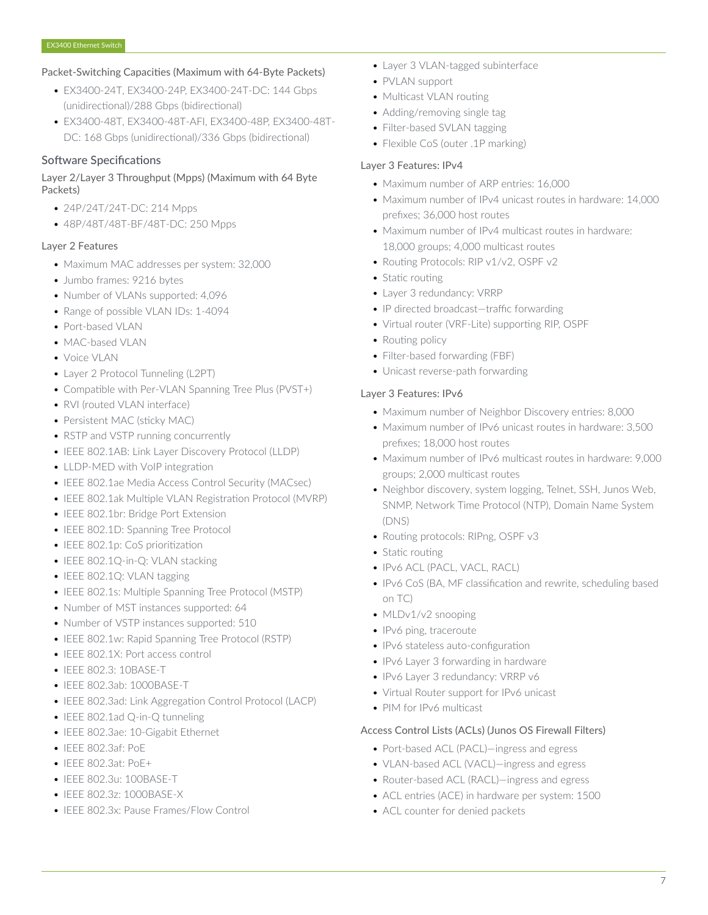#### Packet-Switching Capacities (Maximum with 64-Byte Packets)

- EX3400-24T, EX3400-24P, EX3400-24T-DC: 144 Gbps (unidirectional)/288 Gbps (bidirectional)
- EX3400-48T, EX3400-48T-AFI, EX3400-48P, EX3400-48T-DC: 168 Gbps (unidirectional)/336 Gbps (bidirectional)

#### Software Specifications

### Layer 2/Layer 3 Throughput (Mpps) (Maximum with 64 Byte Packets)

- 24P/24T/24T-DC: 214 Mpps
- 48P/48T/48T-BF/48T-DC: 250 Mpps

### Layer 2 Features

- Maximum MAC addresses per system: 32,000
- Jumbo frames: 9216 bytes
- Number of VLANs supported: 4,096
- Range of possible VLAN IDs: 1-4094
- Port-based VLAN
- MAC-based VLAN
- Voice VLAN
- Layer 2 Protocol Tunneling (L2PT)
- Compatible with Per-VLAN Spanning Tree Plus (PVST+)
- RVI (routed VLAN interface)
- Persistent MAC (sticky MAC)
- RSTP and VSTP running concurrently
- IEEE 802.1AB: Link Layer Discovery Protocol (LLDP)
- LLDP-MED with VoIP integration
- IEEE 802.1ae Media Access Control Security (MACsec)
- IEEE 802.1ak Multiple VLAN Registration Protocol (MVRP)
- IEEE 802.1br: Bridge Port Extension
- IEEE 802.1D: Spanning Tree Protocol
- IEEE 802.1p: CoS prioritization
- IEEE 802.1Q-in-Q: VLAN stacking
- IEEE 802.1Q: VLAN tagging
- IEEE 802.1s: Multiple Spanning Tree Protocol (MSTP)
- Number of MST instances supported: 64
- Number of VSTP instances supported: 510
- IEEE 802.1w: Rapid Spanning Tree Protocol (RSTP)
- IEEE 802.1X: Port access control
- IEEE 802.3: 10BASE-T
- IEEE 802.3ab: 1000BASE-T
- IEEE 802.3ad: Link Aggregation Control Protocol (LACP)
- IEEE 802.1ad Q-in-Q tunneling
- IEEE 802.3ae: 10-Gigabit Ethernet
- IEEE 802.3af: PoE
- IEEE 802.3at: PoE+
- IEEE 802.3u: 100BASE-T
- IEEE 802.3z: 1000BASE-X
- IEEE 802.3x: Pause Frames/Flow Control
- Layer 3 VLAN-tagged subinterface
- PVLAN support
- Multicast VLAN routing
- Adding/removing single tag
- Filter-based SVLAN tagging
- Flexible CoS (outer .1P marking)

### Layer 3 Features: IPv4

- Maximum number of ARP entries: 16,000
- Maximum number of IPv4 unicast routes in hardware: 14,000 prefixes; 36,000 host routes
- Maximum number of IPv4 multicast routes in hardware: 18,000 groups; 4,000 multicast routes
- Routing Protocols: RIP v1/v2, OSPF v2
- Static routing
- Layer 3 redundancy: VRRP
- IP directed broadcast—traffic forwarding
- Virtual router (VRF-Lite) supporting RIP, OSPF
- Routing policy
- Filter-based forwarding (FBF)
- Unicast reverse-path forwarding

#### Layer 3 Features: IPv6

- Maximum number of Neighbor Discovery entries: 8,000
- Maximum number of IPv6 unicast routes in hardware: 3,500 prefixes; 18,000 host routes
- Maximum number of IPv6 multicast routes in hardware: 9,000 groups; 2,000 multicast routes
- Neighbor discovery, system logging, Telnet, SSH, Junos Web, SNMP, Network Time Protocol (NTP), Domain Name System (DNS)
- Routing protocols: RIPng, OSPF v3
- Static routing
- IPv6 ACL (PACL, VACL, RACL)
- IPv6 CoS (BA, MF classification and rewrite, scheduling based on TC)
- MLDv1/v2 snooping
- IPv6 ping, traceroute
- IPv6 stateless auto-configuration
- IPv6 Layer 3 forwarding in hardware
- IPv6 Layer 3 redundancy: VRRP v6
- Virtual Router support for IPv6 unicast
- PIM for IPv6 multicast

#### Access Control Lists (ACLs) (Junos OS Firewall Filters)

- Port-based ACL (PACL)—ingress and egress
- VLAN-based ACL (VACL)—ingress and egress
- Router-based ACL (RACL)—ingress and egress
- ACL entries (ACE) in hardware per system: 1500
- ACL counter for denied packets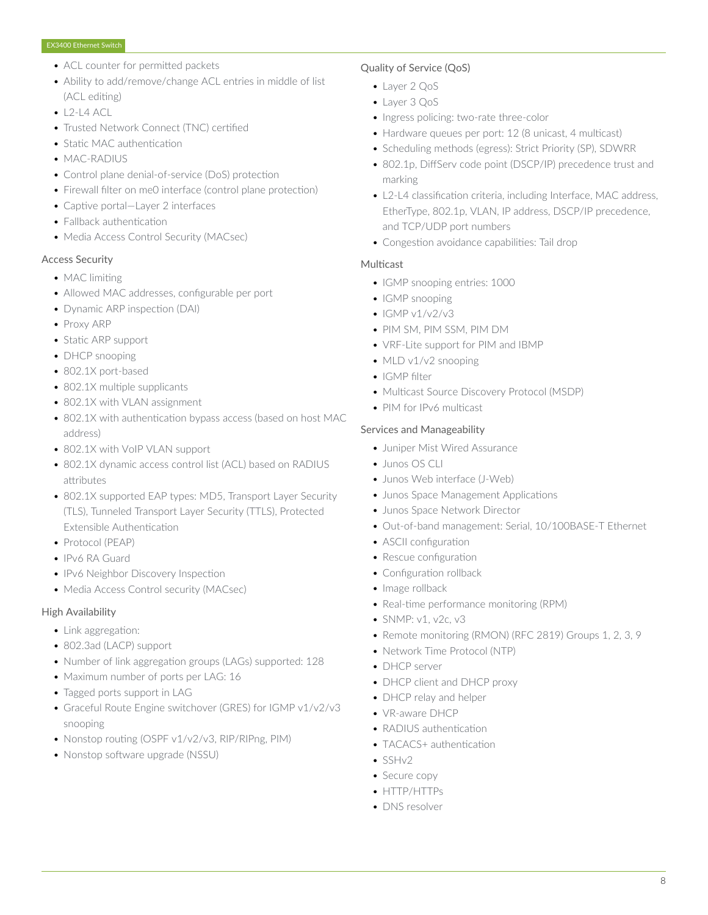- ACL counter for permitted packets
- Ability to add/remove/change ACL entries in middle of list (ACL editing)
- $\bullet$  L<sub>2</sub>-L<sub>4</sub> ACL
- Trusted Network Connect (TNC) certified
- Static MAC authentication
- MAC-RADIUS
- Control plane denial-of-service (DoS) protection
- Firewall filter on me0 interface (control plane protection)
- Captive portal—Layer 2 interfaces
- Fallback authentication
- Media Access Control Security (MACsec)

#### Access Security

- MAC limiting
- Allowed MAC addresses, configurable per port
- Dynamic ARP inspection (DAI)
- Proxy ARP
- Static ARP support
- DHCP snooping
- 802.1X port-based
- 802.1X multiple supplicants
- 802.1X with VLAN assignment
- 802.1X with authentication bypass access (based on host MAC address)
- 802.1X with VoIP VLAN support
- 802.1X dynamic access control list (ACL) based on RADIUS attributes
- 802.1X supported EAP types: MD5, Transport Layer Security (TLS), Tunneled Transport Layer Security (TTLS), Protected Extensible Authentication
- Protocol (PEAP)
- IPv6 RA Guard
- IPv6 Neighbor Discovery Inspection
- Media Access Control security (MACsec)

#### High Availability

- Link aggregation:
- 802.3ad (LACP) support
- Number of link aggregation groups (LAGs) supported: 128
- Maximum number of ports per LAG: 16
- Tagged ports support in LAG
- Graceful Route Engine switchover (GRES) for IGMP v1/v2/v3 snooping
- Nonstop routing (OSPF v1/v2/v3, RIP/RIPng, PIM)
- Nonstop software upgrade (NSSU)

#### Quality of Service (QoS)

- Layer 2 QoS
- Layer 3 QoS
- Ingress policing: two-rate three-color
- Hardware queues per port: 12 (8 unicast, 4 multicast)
- Scheduling methods (egress): Strict Priority (SP), SDWRR
- 802.1p, DiffServ code point (DSCP/IP) precedence trust and marking
- L2-L4 classification criteria, including Interface, MAC address, EtherType, 802.1p, VLAN, IP address, DSCP/IP precedence, and TCP/UDP port numbers
- Congestion avoidance capabilities: Tail drop

#### **Multicast**

- IGMP snooping entries: 1000
- IGMP snooping
- $\bullet$  IGMP v1/v2/v3
- PIM SM, PIM SSM, PIM DM
- VRF-Lite support for PIM and IBMP
- MLD v1/v2 snooping
- IGMP filter
- Multicast Source Discovery Protocol (MSDP)
- PIM for IPv6 multicast

#### Services and Manageability

- Juniper Mist Wired Assurance
- Junos OS CLI
- Junos Web interface (J-Web)
- Junos Space Management Applications
- Junos Space Network Director
- Out-of-band management: Serial, 10/100BASE-T Ethernet
- ASCII configuration
- Rescue configuration
- Configuration rollback
- Image rollback
- Real-time performance monitoring (RPM)
- SNMP: v1, v2c, v3
- Remote monitoring (RMON) (RFC 2819) Groups 1, 2, 3, 9
- Network Time Protocol (NTP)
- DHCP server
- DHCP client and DHCP proxy
- DHCP relay and helper
- VR-aware DHCP
- RADIUS authentication
- TACACS+ authentication
- SSHv2
- Secure copy
- HTTP/HTTPs
- DNS resolver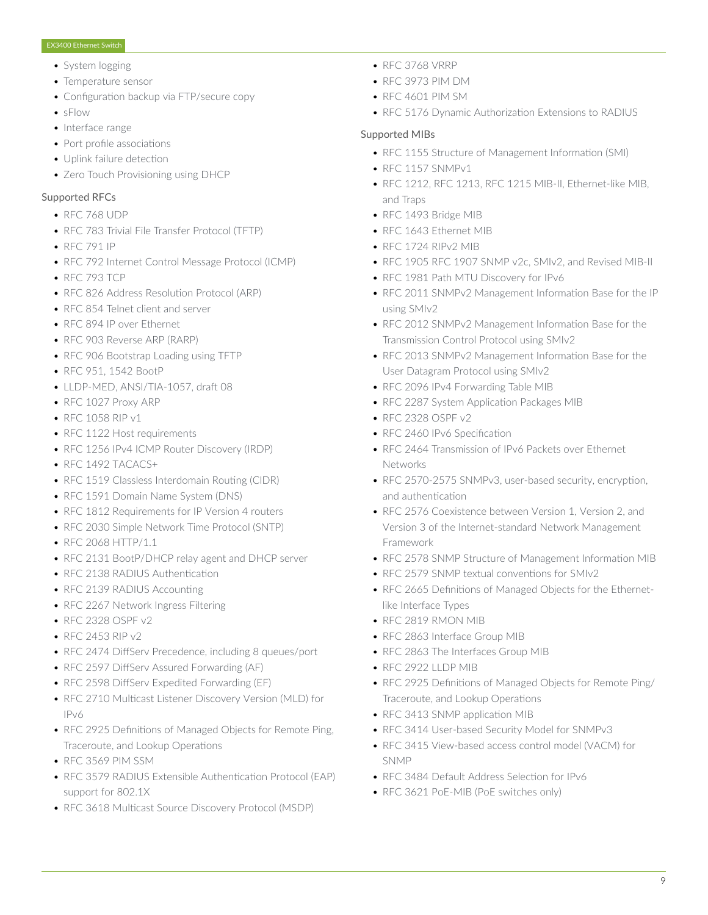- System logging
- Temperature sensor
- Configuration backup via FTP/secure copy
- sFlow
- Interface range
- Port profile associations
- Uplink failure detection
- Zero Touch Provisioning using DHCP

#### Supported RFCs

- RFC 768 UDP
- RFC 783 Trivial File Transfer Protocol (TFTP)
- RFC 791 IP
- RFC 792 Internet Control Message Protocol (ICMP)
- RFC 793 TCP
- RFC 826 Address Resolution Protocol (ARP)
- RFC 854 Telnet client and server
- RFC 894 IP over Ethernet
- RFC 903 Reverse ARP (RARP)
- RFC 906 Bootstrap Loading using TFTP
- RFC 951, 1542 BootP
- LLDP-MED, ANSI/TIA-1057, draft 08
- RFC 1027 Proxy ARP
- RFC 1058 RIP v1
- RFC 1122 Host requirements
- RFC 1256 IPv4 ICMP Router Discovery (IRDP)
- RFC 1492 TACACS+
- RFC 1519 Classless Interdomain Routing (CIDR)
- RFC 1591 Domain Name System (DNS)
- RFC 1812 Requirements for IP Version 4 routers
- RFC 2030 Simple Network Time Protocol (SNTP)
- RFC 2068 HTTP/1.1
- RFC 2131 BootP/DHCP relay agent and DHCP server
- RFC 2138 RADIUS Authentication
- RFC 2139 RADIUS Accounting
- RFC 2267 Network Ingress Filtering
- RFC 2328 OSPF v2
- RFC 2453 RIP v2
- RFC 2474 DiffServ Precedence, including 8 queues/port
- RFC 2597 DiffServ Assured Forwarding (AF)
- RFC 2598 DiffServ Expedited Forwarding (EF)
- RFC 2710 Multicast Listener Discovery Version (MLD) for IPv6
- RFC 2925 Definitions of Managed Objects for Remote Ping, Traceroute, and Lookup Operations
- RFC 3569 PIM SSM
- RFC 3579 RADIUS Extensible Authentication Protocol (EAP) support for 802.1X
- RFC 3618 Multicast Source Discovery Protocol (MSDP)
- RFC 3768 VRRP
- RFC 3973 PIM DM
- RFC 4601 PIM SM
- RFC 5176 Dynamic Authorization Extensions to RADIUS

#### Supported MIBs

- RFC 1155 Structure of Management Information (SMI)
- RFC 1157 SNMPv1
- RFC 1212, RFC 1213, RFC 1215 MIB-II, Ethernet-like MIB, and Traps
- RFC 1493 Bridge MIB
- RFC 1643 Ethernet MIB
- RFC 1724 RIPv2 MIB
- RFC 1905 RFC 1907 SNMP v2c, SMIv2, and Revised MIB-II
- RFC 1981 Path MTU Discovery for IPv6
- RFC 2011 SNMPv2 Management Information Base for the IP using SMIv2
- RFC 2012 SNMPv2 Management Information Base for the Transmission Control Protocol using SMIv2
- RFC 2013 SNMPv2 Management Information Base for the User Datagram Protocol using SMIv2
- RFC 2096 IPv4 Forwarding Table MIB
- RFC 2287 System Application Packages MIB
- RFC 2328 OSPF v2
- RFC 2460 IPv6 Specification
- RFC 2464 Transmission of IPv6 Packets over Ethernet **Networks**
- RFC 2570-2575 SNMPv3, user-based security, encryption, and authentication
- RFC 2576 Coexistence between Version 1, Version 2, and Version 3 of the Internet-standard Network Management Framework
- RFC 2578 SNMP Structure of Management Information MIB
- RFC 2579 SNMP textual conventions for SMIv2
- RFC 2665 Definitions of Managed Objects for the Ethernetlike Interface Types
- RFC 2819 RMON MIB
- RFC 2863 Interface Group MIB
- RFC 2863 The Interfaces Group MIB
- RFC 2922 LLDP MIB
- RFC 2925 Definitions of Managed Objects for Remote Ping/ Traceroute, and Lookup Operations
- RFC 3413 SNMP application MIB
- RFC 3414 User-based Security Model for SNMPv3
- RFC 3415 View-based access control model (VACM) for SNMP
- RFC 3484 Default Address Selection for IPv6
- RFC 3621 PoE-MIB (PoE switches only)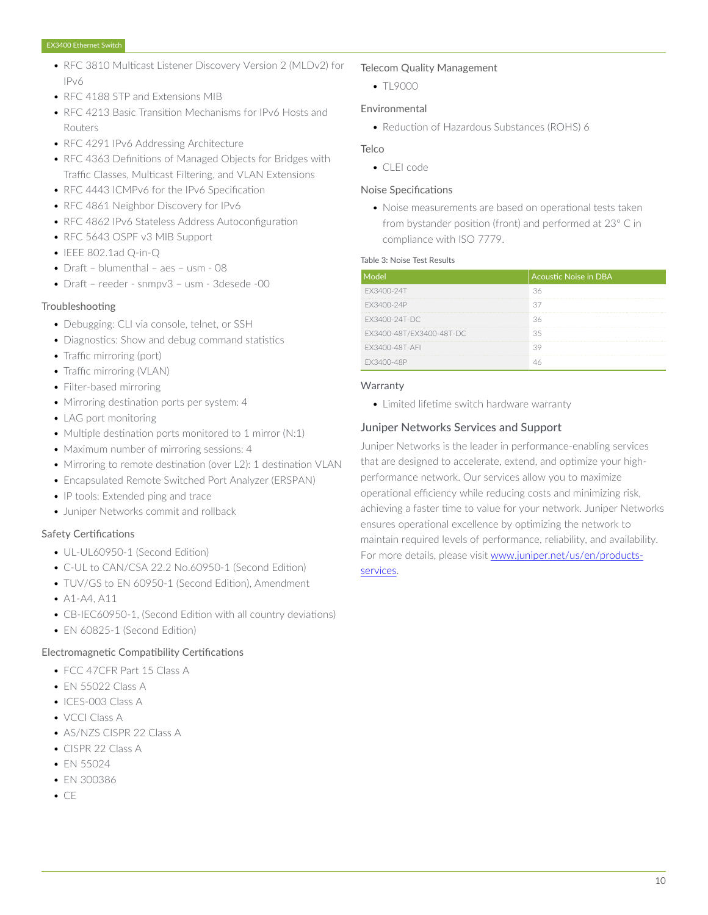- RFC 3810 Multicast Listener Discovery Version 2 (MLDv2) for IPv6
- RFC 4188 STP and Extensions MIB
- RFC 4213 Basic Transition Mechanisms for IPv6 Hosts and Routers
- RFC 4291 IPv6 Addressing Architecture
- RFC 4363 Definitions of Managed Objects for Bridges with Traffic Classes, Multicast Filtering, and VLAN Extensions
- RFC 4443 ICMPv6 for the IPv6 Specification
- RFC 4861 Neighbor Discovery for IPv6
- RFC 4862 IPv6 Stateless Address Autoconfiguration
- RFC 5643 OSPF v3 MIB Support
- IEEE 802.1ad Q-in-Q
- Draft blumenthal aes usm 08
- Draft reeder snmpv3 usm 3desede -00

#### Troubleshooting

- Debugging: CLI via console, telnet, or SSH
- Diagnostics: Show and debug command statistics
- Traffic mirroring (port)
- Traffic mirroring (VLAN)
- Filter-based mirroring
- Mirroring destination ports per system: 4
- LAG port monitoring
- Multiple destination ports monitored to 1 mirror (N:1)
- Maximum number of mirroring sessions: 4
- Mirroring to remote destination (over L2): 1 destination VLAN
- Encapsulated Remote Switched Port Analyzer (ERSPAN)
- IP tools: Extended ping and trace
- Juniper Networks commit and rollback

#### Safety Certifications

- UL-UL60950-1 (Second Edition)
- C-UL to CAN/CSA 22.2 No.60950-1 (Second Edition)
- TUV/GS to FN 60950-1 (Second Edition), Amendment
- $A1 A4$ ,  $A11$
- CB-IEC60950-1, (Second Edition with all country deviations)
- EN 60825-1 (Second Edition)

#### Electromagnetic Compatibility Certifications

- FCC 47CFR Part 15 Class A
- EN 55022 Class A
- ICES-003 Class A
- VCCI Class A
- AS/NZS CISPR 22 Class A
- CISPR 22 Class A
- EN 55024
- EN 300386
- CE

#### Telecom Quality Management

 $• T19000$ 

### Environmental

• Reduction of Hazardous Substances (ROHS) 6

#### **Telco**

• CLEI code

#### Noise Specifications

• Noise measurements are based on operational tests taken from bystander position (front) and performed at 23° C in compliance with ISO 7779.

#### Table 3: Noise Test Results

| Model                    | <b>Acoustic Noise in DBA</b> |
|--------------------------|------------------------------|
| FX3400-24T               | 36                           |
| FX3400-24P               | 37                           |
| EX3400-24T-DC            | 36                           |
| EX3400-48T/EX3400-48T-DC | 35                           |
| FX3400-48T-AFI           | R                            |
| FX3400-48P               |                              |

#### **Warranty**

• Limited lifetime switch hardware warranty

#### Juniper Networks Services and Support

Juniper Networks is the leader in performance-enabling services that are designed to accelerate, extend, and optimize your highperformance network. Our services allow you to maximize operational efficiency while reducing costs and minimizing risk, achieving a faster time to value for your network. Juniper Networks ensures operational excellence by optimizing the network to maintain required levels of performance, reliability, and availability. For more details, please visit [www.juniper.net/us/en/products](https://www.juniper.net/us/en/products-services/)[services.](https://www.juniper.net/us/en/products-services/)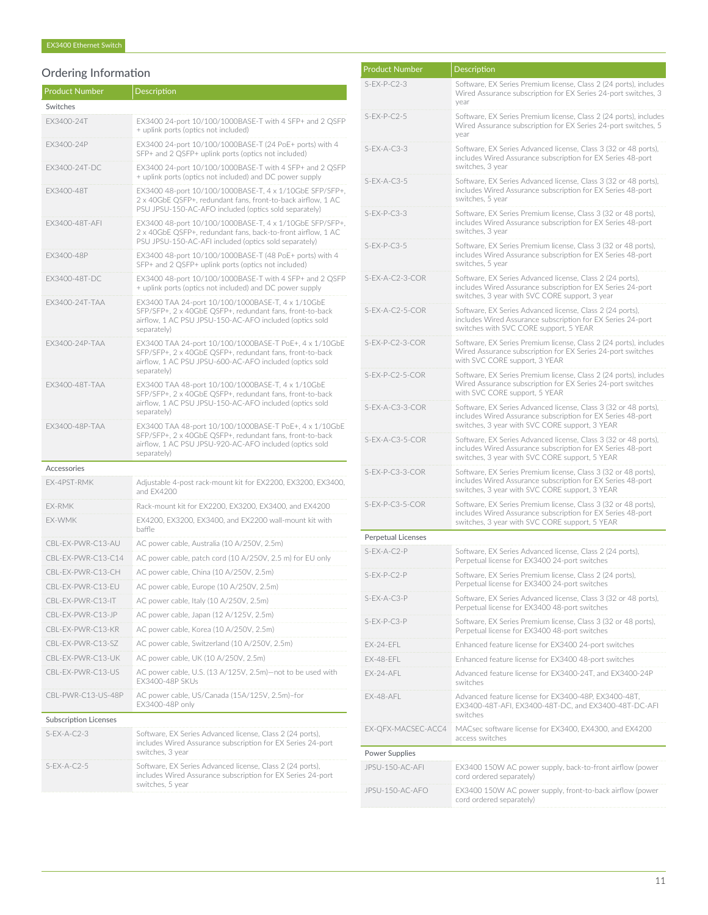# Ordering Information

| <b>Product Number</b>        | Description                                                                                                                                                                                  |
|------------------------------|----------------------------------------------------------------------------------------------------------------------------------------------------------------------------------------------|
| Switches                     |                                                                                                                                                                                              |
| EX3400-24T                   | EX3400 24-port 10/100/1000BASE-T with 4 SFP+ and 2 QSFP<br>+ uplink ports (optics not included)                                                                                              |
| EX3400-24P                   | EX3400 24-port 10/100/1000BASE-T (24 PoE+ ports) with 4<br>SFP+ and 2 QSFP+ uplink ports (optics not included)                                                                               |
| EX3400-24T-DC                | EX3400 24-port 10/100/1000BASE-T with 4 SFP+ and 2 QSFP<br>+ uplink ports (optics not included) and DC power supply                                                                          |
| EX3400-48T                   | EX3400 48-port 10/100/1000BASE-T, 4 x 1/10GbE SFP/SFP+,<br>2 x 40GbE QSFP+, redundant fans, front-to-back airflow, 1 AC<br>PSU JPSU-150-AC-AFO included (optics sold separately)             |
| EX3400-48T-AFI               | EX3400 48-port 10/100/1000BASE-T, 4 x 1/10GbE SFP/SFP+,<br>2 x 40GbE QSFP+, redundant fans, back-to-front airflow, 1 AC<br>PSU JPSU-150-AC-AFI included (optics sold separately)             |
| EX3400-48P                   | EX3400 48-port 10/100/1000BASE-T (48 PoE+ ports) with 4<br>SFP+ and 2 QSFP+ uplink ports (optics not included)                                                                               |
| EX3400-48T-DC                | EX3400 48-port 10/100/1000BASE-T with 4 SFP+ and 2 QSFP<br>+ uplink ports (optics not included) and DC power supply                                                                          |
| EX3400-24T-TAA               | EX3400 TAA 24-port 10/100/1000BASE-T, 4 x 1/10GbE<br>SFP/SFP+, 2 x 40GbE QSFP+, redundant fans, front-to-back<br>airflow, 1 AC PSU JPSU-150-AC-AFO included (optics sold<br>separately)      |
| EX3400-24P-TAA               | EX3400 TAA 24-port 10/100/1000BASE-T PoE+, 4 x 1/10GbE<br>SFP/SFP+, 2 x 40GbE QSFP+, redundant fans, front-to-back<br>airflow, 1 AC PSU JPSU-600-AC-AFO included (optics sold<br>separately) |
| EX3400-48T-TAA               | EX3400 TAA 48-port 10/100/1000BASE-T, 4 x 1/10GbE<br>SFP/SFP+, 2 x 40GbE QSFP+, redundant fans, front-to-back<br>airflow, 1 AC PSU JPSU-150-AC-AFO included (optics sold<br>separately)      |
| EX3400-48P-TAA               | EX3400 TAA 48-port 10/100/1000BASE-T PoE+, 4 x 1/10GbE<br>SFP/SFP+, 2 x 40GbE QSFP+, redundant fans, front-to-back<br>airflow, 1 AC PSU JPSU-920-AC-AFO included (optics sold<br>separately) |
| Accessories                  |                                                                                                                                                                                              |
| EX-4PST-RMK                  | Adjustable 4-post rack-mount kit for EX2200, EX3200, EX3400,<br>and EX4200                                                                                                                   |
| EX-RMK                       | Rack-mount kit for EX2200, EX3200, EX3400, and EX4200                                                                                                                                        |
| EX-WMK                       | EX4200, EX3200, EX3400, and EX2200 wall-mount kit with<br>baffle                                                                                                                             |
| CBL-EX-PWR-C13-AU            | AC power cable, Australia (10 A/250V, 2.5m)                                                                                                                                                  |
| CBL-EX-PWR-C13-C14           | AC power cable, patch cord (10 A/250V, 2.5 m) for EU only                                                                                                                                    |
| CBL-EX-PWR-C13-CH            | AC power cable, China (10 A/250V, 2.5m)                                                                                                                                                      |
| CBL-EX-PWR-C13-EU            | AC power cable, Europe (10 A/250V, 2.5m)                                                                                                                                                     |
| CBL-EX-PWR-C13-IT            | AC power cable, Italy (10 A/250V, 2.5m)                                                                                                                                                      |
| CBL-EX-PWR-C13-JP            | AC power cable, Japan (12 A/125V, 2.5m)                                                                                                                                                      |
| CBL-EX-PWR-C13-KR            | AC power cable, Korea (10 A/250V, 2.5m)                                                                                                                                                      |
| CBL-EX-PWR-C13-SZ            | AC power cable, Switzerland (10 A/250V, 2.5m)                                                                                                                                                |
| CBL-EX-PWR-C13-UK            | AC power cable, UK (10 A/250V, 2.5m)                                                                                                                                                         |
| CBL-EX-PWR-C13-US            | AC power cable, U.S. (13 A/125V, 2.5m)-not to be used with<br>EX3400-48P SKUs                                                                                                                |
| CBL-PWR-C13-US-48P           | AC power cable, US/Canada (15A/125V, 2.5m)-for<br>EX3400-48P only                                                                                                                            |
| <b>Subscription Licenses</b> |                                                                                                                                                                                              |
| $S$ -EX-A-C2-3               | Software, EX Series Advanced license, Class 2 (24 ports),<br>includes Wired Assurance subscription for EX Series 24-port<br>switches, 3 year                                                 |
| $S$ -EX-A-C2-5               | Software, EX Series Advanced license, Class 2 (24 ports),<br>includes Wired Assurance subscription for EX Series 24-port<br>switches, 5 year                                                 |

| <b>Product Number</b>     | <b>Description</b>                                                                                                                                                               |  |  |
|---------------------------|----------------------------------------------------------------------------------------------------------------------------------------------------------------------------------|--|--|
| $S$ -EX-P-C2-3            | Software, EX Series Premium license, Class 2 (24 ports), includes<br>Wired Assurance subscription for EX Series 24-port switches, 3<br>year                                      |  |  |
| $S$ -EX-P-C2-5            | Software, EX Series Premium license, Class 2 (24 ports), includes<br>Wired Assurance subscription for EX Series 24-port switches, 5<br>vear                                      |  |  |
| $S$ -EX-A-C3-3            | Software, EX Series Advanced license, Class 3 (32 or 48 ports),<br>includes Wired Assurance subscription for EX Series 48-port<br>switches, 3 year                               |  |  |
| $S$ -EX-A-C3-5            | Software, EX Series Advanced license, Class 3 (32 or 48 ports),<br>includes Wired Assurance subscription for EX Series 48-port<br>switches, 5 year                               |  |  |
| $S$ -EX-P-C3-3            | Software, EX Series Premium license, Class 3 (32 or 48 ports),<br>includes Wired Assurance subscription for EX Series 48-port<br>switches, 3 year                                |  |  |
| $S$ -EX-P-C3-5            | Software, EX Series Premium license, Class 3 (32 or 48 ports),<br>includes Wired Assurance subscription for EX Series 48-port<br>switches, 5 year                                |  |  |
| S-EX-A-C2-3-COR           | Software, EX Series Advanced license, Class 2 (24 ports),<br>includes Wired Assurance subscription for EX Series 24-port<br>switches, 3 year with SVC CORE support, 3 year       |  |  |
| S-EX-A-C2-5-COR           | Software, EX Series Advanced license, Class 2 (24 ports).<br>includes Wired Assurance subscription for EX Series 24-port<br>switches with SVC CORE support, 5 YEAR               |  |  |
| S-EX-P-C2-3-COR           | Software, EX Series Premium license, Class 2 (24 ports), includes<br>Wired Assurance subscription for EX Series 24-port switches<br>with SVC CORE support, 3 YEAR                |  |  |
| $S-EX-P-C2-5-COR$         | Software, EX Series Premium license, Class 2 (24 ports), includes<br>Wired Assurance subscription for EX Series 24-port switches<br>with SVC CORE support, 5 YEAR                |  |  |
| S-EX-A-C3-3-COR           | Software, EX Series Advanced license, Class 3 (32 or 48 ports),<br>includes Wired Assurance subscription for EX Series 48-port<br>switches, 3 year with SVC CORE support, 3 YEAR |  |  |
| S-EX-A-C3-5-COR           | Software, EX Series Advanced license, Class 3 (32 or 48 ports),<br>includes Wired Assurance subscription for EX Series 48-port<br>switches, 3 year with SVC CORE support, 5 YEAR |  |  |
| S-EX-P-C3-3-COR           | Software, EX Series Premium license, Class 3 (32 or 48 ports),<br>includes Wired Assurance subscription for EX Series 48-port<br>switches, 3 year with SVC CORE support, 3 YEAR  |  |  |
| S-EX-P-C3-5-COR           | Software, EX Series Premium license, Class 3 (32 or 48 ports),<br>includes Wired Assurance subscription for EX Series 48-port<br>switches, 3 year with SVC CORE support, 5 YEAR  |  |  |
| <b>Perpetual Licenses</b> |                                                                                                                                                                                  |  |  |
| S-EX-A-C2-P               | Software, EX Series Advanced license, Class 2 (24 ports),<br>Perpetual license for EX3400 24-port switches                                                                       |  |  |
| S-EX-P-C2-P               | Software, EX Series Premium license, Class 2 (24 ports).<br>Perpetual license for EX3400 24-port switches                                                                        |  |  |
| S-EX-A-C3-P               | Software, EX Series Advanced license, Class 3 (32 or 48 ports),<br>Perpetual license for EX3400 48-port switches                                                                 |  |  |
| S-EX-P-C3-P               | Software, EX Series Premium license, Class 3 (32 or 48 ports),<br>Perpetual license for EX3400 48-port switches                                                                  |  |  |
| EX-24-EFL                 | Enhanced feature license for EX3400 24-port switches                                                                                                                             |  |  |
| EX-48-EFL                 | Enhanced feature license for EX3400 48-port switches                                                                                                                             |  |  |
| EX-24-AFL                 | Advanced feature license for EX3400-24T, and EX3400-24P<br>switches                                                                                                              |  |  |
| EX-48-AFL                 | Advanced feature license for EX3400-48P, EX3400-48T,<br>EX3400-48T-AFI, EX3400-48T-DC, and EX3400-48T-DC-AFI<br>switches                                                         |  |  |
| EX-QFX-MACSEC-ACC4        | MACsec software license for EX3400, EX4300, and EX4200<br>access switches                                                                                                        |  |  |
| Power Supplies            |                                                                                                                                                                                  |  |  |
| JPSU-150-AC-AFI           | EX3400 150W AC power supply, back-to-front airflow (power<br>cord ordered separately)                                                                                            |  |  |
| JPSU-150-AC-AFO           | EX3400 150W AC power supply, front-to-back airflow (power<br>cord ordered separately)                                                                                            |  |  |